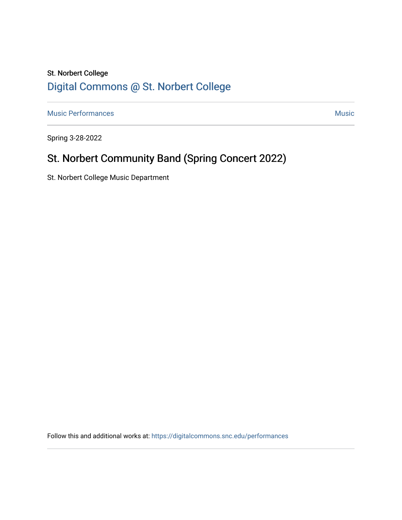# St. Norbert College [Digital Commons @ St. Norbert College](https://digitalcommons.snc.edu/)

[Music Performances](https://digitalcommons.snc.edu/performances) **Music** [Music](https://digitalcommons.snc.edu/music) **Music** Music **Music** 

Spring 3-28-2022

# St. Norbert Community Band (Spring Concert 2022)

St. Norbert College Music Department

Follow this and additional works at: [https://digitalcommons.snc.edu/performances](https://digitalcommons.snc.edu/performances?utm_source=digitalcommons.snc.edu%2Fperformances%2F162&utm_medium=PDF&utm_campaign=PDFCoverPages)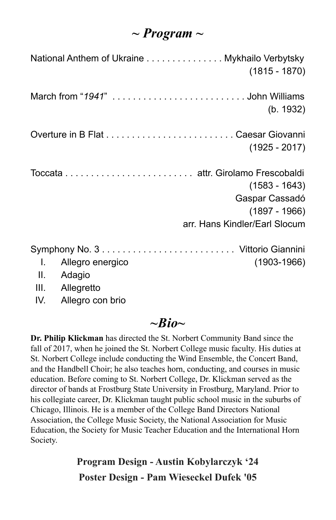### *~ Program ~*

|       |                  | National Anthem of Ukraine Mykhailo Verbytsky<br>$(1815 - 1870)$ |
|-------|------------------|------------------------------------------------------------------|
|       |                  | (b. 1932)                                                        |
|       |                  |                                                                  |
|       |                  | $(1925 - 2017)$                                                  |
|       |                  |                                                                  |
|       |                  | $(1583 - 1643)$                                                  |
|       |                  | Gaspar Cassadó                                                   |
|       |                  | $(1897 - 1966)$                                                  |
|       |                  | arr. Hans Kindler/Earl Slocum                                    |
|       |                  |                                                                  |
| L.    | Allegro energico | $(1903 - 1966)$                                                  |
|       | II. Adagio       |                                                                  |
|       | III. Allegretto  |                                                                  |
| IV. I | Allegro con brio |                                                                  |

### $\sim$ *Bio* $\sim$

**Dr. Philip Klickman** has directed the St. Norbert Community Band since the fall of 2017, when he joined the St. Norbert College music faculty. His duties at St. Norbert College include conducting the Wind Ensemble, the Concert Band, and the Handbell Choir; he also teaches horn, conducting, and courses in music education. Before coming to St. Norbert College, Dr. Klickman served as the director of bands at Frostburg State University in Frostburg, Maryland. Prior to his collegiate career, Dr. Klickman taught public school music in the suburbs of Chicago, Illinois. He is a member of the College Band Directors National Association, the College Music Society, the National Association for Music Education, the Society for Music Teacher Education and the International Horn Society.

> **Program Design - Austin Kobylarczyk '24 Poster Design - Pam Wieseckel Dufek '05**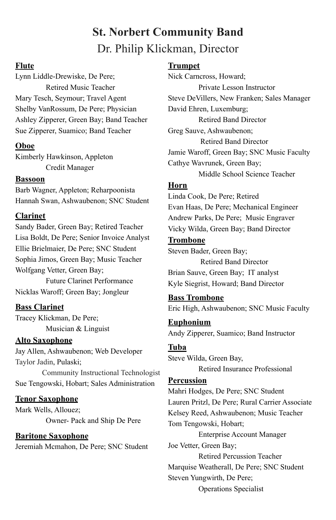## **St. Norbert Community Band** Dr. Philip Klickman, Director

#### **Flute**

Lynn Liddle-Drewiske, De Pere; Retired Music Teacher Mary Tesch, Seymour; Travel Agent Shelby VanRossum, De Pere; Physician Ashley Zipperer, Green Bay; Band Teacher Sue Zipperer, Suamico; Band Teacher

#### **Oboe**

Kimberly Hawkinson, Appleton Credit Manager

#### **Bassoon**

Barb Wagner, Appleton; Reharpoonista Hannah Swan, Ashwaubenon; SNC Student

#### **Clarinet**

Sandy Bader, Green Bay; Retired Teacher Lisa Boldt, De Pere; Senior Invoice Analyst Ellie Brielmaier, De Pere; SNC Student Sophia Jimos, Green Bay; Music Teacher Wolfgang Vetter, Green Bay;

Future Clarinet Performance Nicklas Waroff; Green Bay; Jongleur

#### **Bass Clarinet**

Tracey Klickman, De Pere; Musician & Linguist

#### **Alto Saxophone**

Jay Allen, Ashwaubenon; Web Developer Taylor Jadin, Pulaski;

Community Instructional Technologist Sue Tengowski, Hobart; Sales Administration

#### **Tenor Saxophone**

Mark Wells, Allouez; Owner- Pack and Ship De Pere

#### **Baritone Saxophone**

Jeremiah Mcmahon, De Pere; SNC Student

#### **Trumpet**

Nick Carncross, Howard; Private Lesson Instructor Steve DeVillers, New Franken; Sales Manager David Ehren, Luxemburg; Retired Band Director Greg Sauve, Ashwaubenon; Retired Band Director Jamie Waroff, Green Bay; SNC Music Faculty Cathye Wavrunek, Green Bay; Middle School Science Teacher

#### **Horn**

Linda Cook, De Pere; Retired Evan Haas, De Pere; Mechanical Engineer Andrew Parks, De Pere; Music Engraver Vicky Wilda, Green Bay; Band Director

#### **Trombone**

Steven Bader, Green Bay; Retired Band Director Brian Sauve, Green Bay; IT analyst Kyle Siegrist, Howard; Band Director

#### **Bass Trombone**

Eric High, Ashwaubenon; SNC Music Faculty

**Euphonium** Andy Zipperer, Suamico; Band Instructor

#### **Tuba**

Steve Wilda, Green Bay,

Retired Insurance Professional

#### **Percussion**

Mahri Hodges, De Pere; SNC Student Lauren Pritzl, De Pere; Rural Carrier Associate Kelsey Reed, Ashwaubenon; Music Teacher Tom Tengowski, Hobart;

Enterprise Account Manager Joe Vetter, Green Bay;

Retired Percussion Teacher Marquise Weatherall, De Pere; SNC Student Steven Yungwirth, De Pere;

Operations Specialist